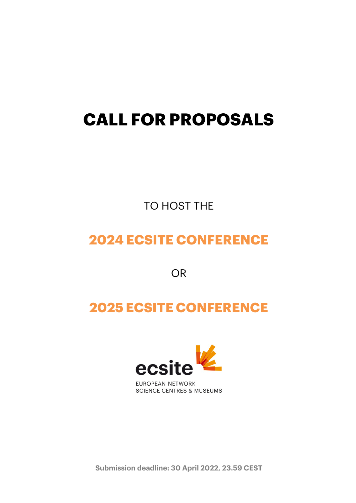# **CALL FOR PROPOSALS**

TO HOST THE

# **2024 ECSITE CONFERENCE**

OR

# **2025 ECSITE CONFERENCE**



**SCIENCE CENTRES & MUSEUMS** 

**Submission deadline: 30 April 2022, 23.59 CEST**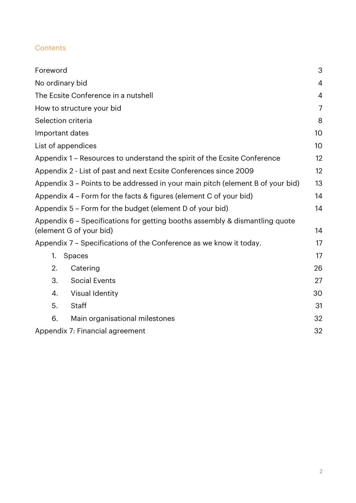### **Contents**

| Foreword                                                                                               | 3              |
|--------------------------------------------------------------------------------------------------------|----------------|
| No ordinary bid                                                                                        | $\overline{4}$ |
| The Ecsite Conference in a nutshell                                                                    | $\overline{4}$ |
| How to structure your bid                                                                              | $\overline{7}$ |
| Selection criteria                                                                                     | 8              |
| Important dates                                                                                        | 10             |
| List of appendices                                                                                     | 10             |
| Appendix 1 – Resources to understand the spirit of the Ecsite Conference                               | 12             |
| Appendix 2 - List of past and next Ecsite Conferences since 2009                                       | 12             |
| Appendix 3 - Points to be addressed in your main pitch (element B of your bid)                         | 13             |
| Appendix 4 – Form for the facts & figures (element C of your bid)                                      | 14             |
| Appendix 5 - Form for the budget (element D of your bid)                                               | 14             |
| Appendix 6 - Specifications for getting booths assembly & dismantling quote<br>(element G of your bid) | 14             |
| Appendix 7 – Specifications of the Conference as we know it today.                                     | 17             |
| 1.<br>Spaces                                                                                           | 17             |
| 2.<br>Catering                                                                                         | 26             |
| 3.<br><b>Social Events</b>                                                                             | 27             |
| <b>Visual Identity</b><br>4.                                                                           | 30             |
| <b>Staff</b><br>5.                                                                                     | 31             |
| 6.<br>Main organisational milestones                                                                   | 32             |
| Appendix 7: Financial agreement                                                                        | 32             |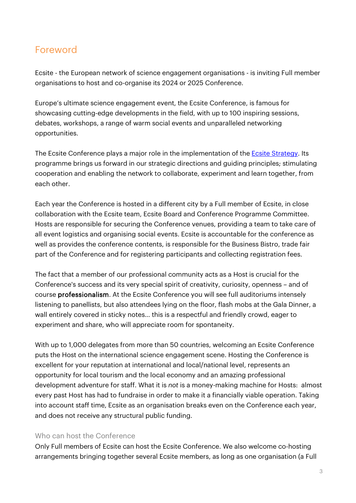## <span id="page-2-0"></span>Foreword

Ecsite - the European network of science engagement organisations - is inviting Full member organisations to host and co-organise its 2024 or 2025 Conference.

Europe's ultimate science engagement event, the Ecsite Conference, is famous for showcasing cutting-edge developments in the field, with up to 100 inspiring sessions, debates, workshops, a range of warm social events and unparalleled networking opportunities.

The Ecsite Conference plays a major role in the implementation of the **Ecsite Strategy**. Its programme brings us forward in our strategic directions and guiding principles; stimulating cooperation and enabling the network to collaborate, experiment and learn together, from each other.

Each year the Conference is hosted in a different city by a Full member of Ecsite, in close collaboration with the Ecsite team, Ecsite Board and Conference Programme Committee. Hosts are responsible for securing the Conference venues, providing a team to take care of all event logistics and organising social events. Ecsite is accountable for the conference as well as provides the conference contents, is responsible for the Business Bistro, trade fair part of the Conference and for registering participants and collecting registration fees.

The fact that a member of our professional community acts as a Host is crucial for the Conference's success and its very special spirit of creativity, curiosity, openness – and of course professionalism. At the Ecsite Conference you will see full auditoriums intensely listening to panellists, but also attendees lying on the floor, flash mobs at the Gala Dinner, a wall entirely covered in sticky notes… this is a respectful and friendly crowd, eager to experiment and share, who will appreciate room for spontaneity.

With up to 1,000 delegates from more than 50 countries, welcoming an Ecsite Conference puts the Host on the international science engagement scene. Hosting the Conference is excellent for your reputation at international and local/national level, represents an opportunity for local tourism and the local economy and an amazing professional development adventure for staff. What it is *not* is a money-making machine for Hosts: almost every past Host has had to fundraise in order to make it a financially viable operation. Taking into account staff time, Ecsite as an organisation breaks even on the Conference each year, and does not receive any structural public funding.

#### Who can host the Conference

Only Full members of Ecsite can host the Ecsite Conference. We also welcome co-hosting arrangements bringing together several Ecsite members, as long as one organisation (a Full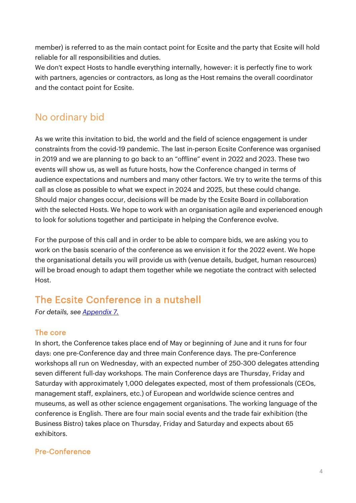member) is referred to as the main contact point for Ecsite and the party that Ecsite will hold reliable for all responsibilities and duties.

We don't expect Hosts to handle everything internally, however: it is perfectly fine to work with partners, agencies or contractors, as long as the Host remains the overall coordinator and the contact point for Ecsite.

# <span id="page-3-0"></span>No ordinary bid

As we write this invitation to bid, the world and the field of science engagement is under constraints from the covid-19 pandemic. The last in-person Ecsite Conference was organised in 2019 and we are planning to go back to an "offline" event in 2022 and 2023. These two events will show us, as well as future hosts, how the Conference changed in terms of audience expectations and numbers and many other factors. We try to write the terms of this call as close as possible to what we expect in 2024 and 2025, but these could change. Should major changes occur, decisions will be made by the Ecsite Board in collaboration with the selected Hosts. We hope to work with an organisation agile and experienced enough to look for solutions together and participate in helping the Conference evolve.

For the purpose of this call and in order to be able to compare bids, we are asking you to work on the basis scenario of the conference as we envision it for the 2022 event. We hope the organisational details you will provide us with (venue details, budget, human resources) will be broad enough to adapt them together while we negotiate the contract with selected Host.

# <span id="page-3-1"></span>The Ecsite Conference in a nutshell

*For details, see [Appendix 7.](#page-16-0)*

### The core

In short, the Conference takes place end of May or beginning of June and it runs for four days: one pre-Conference day and three main Conference days. The pre-Conference workshops all run on Wednesday, with an expected number of 250-300 delegates attending seven different full-day workshops. The main Conference days are Thursday, Friday and Saturday with approximately 1,000 delegates expected, most of them professionals (CEOs, management staff, explainers, etc.) of European and worldwide science centres and museums, as well as other science engagement organisations. The working language of the conference is English. There are four main social events and the trade fair exhibition (the Business Bistro) takes place on Thursday, Friday and Saturday and expects about 65 exhibitors.

### Pre-Conference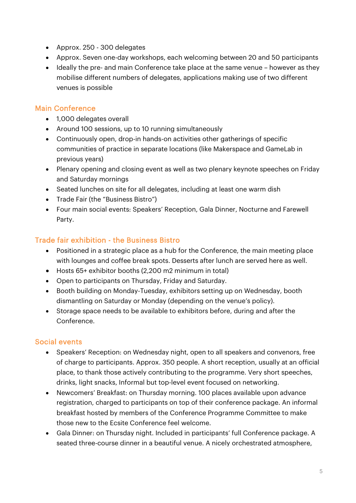- Approx. 250 300 delegates
- Approx. Seven one-day workshops, each welcoming between 20 and 50 participants
- Ideally the pre- and main Conference take place at the same venue however as they mobilise different numbers of delegates, applications making use of two different venues is possible

#### Main Conference

- 1,000 delegates overall
- Around 100 sessions, up to 10 running simultaneously
- Continuously open, drop-in hands-on activities other gatherings of specific communities of practice in separate locations (like Makerspace and GameLab in previous years)
- Plenary opening and closing event as well as two plenary keynote speeches on Friday and Saturday mornings
- Seated lunches on site for all delegates, including at least one warm dish
- Trade Fair (the "Business Bistro")
- Four main social events: Speakers' Reception, Gala Dinner, Nocturne and Farewell Party.

### Trade fair exhibition - the Business Bistro

- Positioned in a strategic place as a hub for the Conference, the main meeting place with lounges and coffee break spots. Desserts after lunch are served here as well.
- Hosts 65+ exhibitor booths (2,200 m2 minimum in total)
- Open to participants on Thursday, Friday and Saturday.
- Booth building on Monday-Tuesday, exhibitors setting up on Wednesday, booth dismantling on Saturday or Monday (depending on the venue's policy).
- Storage space needs to be available to exhibitors before, during and after the Conference.

#### Social events

- Speakers' Reception: on Wednesday night, open to all speakers and convenors, free of charge to participants. Approx. 350 people. A short reception, usually at an official place, to thank those actively contributing to the programme. Very short speeches, drinks, light snacks, Informal but top-level event focused on networking.
- Newcomers' Breakfast: on Thursday morning. 100 places available upon advance registration, charged to participants on top of their conference package. An informal breakfast hosted by members of the Conference Programme Committee to make those new to the Ecsite Conference feel welcome.
- Gala Dinner: on Thursday night. Included in participants' full Conference package. A seated three-course dinner in a beautiful venue. A nicely orchestrated atmosphere,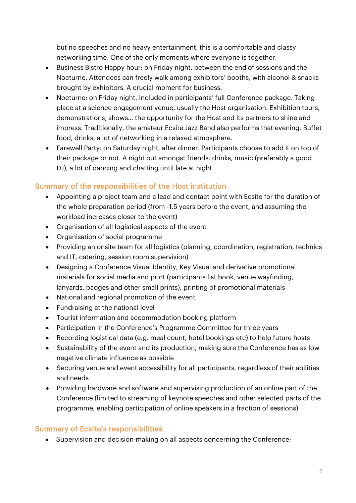but no speeches and no heavy entertainment, this is a comfortable and classy networking time. One of the only moments where everyone is together.

- Business Bistro Happy hour: on Friday night, between the end of sessions and the Nocturne. Attendees can freely walk among exhibitors' booths, with alcohol & snacks brought by exhibitors. A crucial moment for business.
- Nocturne: on Friday night. Included in participants' full Conference package. Taking place at a science engagement venue, usually the Host organisation. Exhibition tours, demonstrations, shows… the opportunity for the Host and its partners to shine and impress. Traditionally, the amateur Ecsite Jazz Band also performs that evening. Buffet food, drinks, a lot of networking in a relaxed atmosphere.
- Farewell Party: on Saturday night, after dinner. Participants choose to add it on top of their package or not. A night out amongst friends: drinks, music (preferably a good DJ), a lot of dancing and chatting until late at night.

### Summary of the responsibilities of the Host institution

- Appointing a project team and a lead and contact point with Ecsite for the duration of the whole preparation period (from -1,5 years before the event, and assuming the workload increases closer to the event)
- Organisation of all logistical aspects of the event
- Organisation of social programme
- Providing an onsite team for all logistics (planning, coordination, registration, technics and IT, catering, session room supervision)
- Designing a Conference Visual Identity, Key Visual and derivative promotional materials for social media and print (participants list book, venue wayfinding, lanyards, badges and other small prints), printing of promotional materials
- National and regional promotion of the event
- Fundraising at the national level
- Tourist information and accommodation booking platform
- Participation in the Conference's Programme Committee for three years
- Recording logistical data (e.g. meal count, hotel bookings etc) to help future hosts
- Sustainability of the event and its production, making sure the Conference has as low negative climate influence as possible
- Securing venue and event accessibility for all participants, regardless of their abilities and needs
- Providing hardware and software and supervising production of an online part of the Conference (limited to streaming of keynote speeches and other selected parts of the programme, enabling participation of online speakers in a fraction of sessions)

### Summary of Ecsite's responsibilities

• Supervision and decision-making on all aspects concerning the Conference;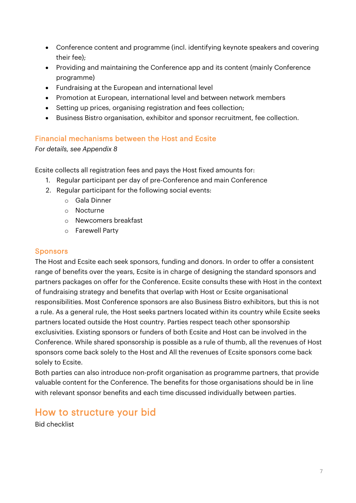- Conference content and programme (incl. identifying keynote speakers and covering their fee);
- Providing and maintaining the Conference app and its content (mainly Conference programme)
- Fundraising at the European and international level
- Promotion at European, international level and between network members
- Setting up prices, organising registration and fees collection;
- Business Bistro organisation, exhibitor and sponsor recruitment, fee collection.

### Financial mechanisms between the Host and Ecsite

### *For details, see Appendix 8*

Ecsite collects all registration fees and pays the Host fixed amounts for:

- 1. Regular participant per day of pre-Conference and main Conference
- 2. Regular participant for the following social events:
	- o Gala Dinner
	- o Nocturne
	- o Newcomers breakfast
	- o Farewell Party

### **Sponsors**

The Host and Ecsite each seek sponsors, funding and donors. In order to offer a consistent range of benefits over the years, Ecsite is in charge of designing the standard sponsors and partners packages on offer for the Conference. Ecsite consults these with Host in the context of fundraising strategy and benefits that overlap with Host or Ecsite organisational responsibilities. Most Conference sponsors are also Business Bistro exhibitors, but this is not a rule. As a general rule, the Host seeks partners located within its country while Ecsite seeks partners located outside the Host country. Parties respect teach other sponsorship exclusivities. Existing sponsors or funders of both Ecsite and Host can be involved in the Conference. While shared sponsorship is possible as a rule of thumb, all the revenues of Host sponsors come back solely to the Host and All the revenues of Ecsite sponsors come back solely to Ecsite.

Both parties can also introduce non-profit organisation as programme partners, that provide valuable content for the Conference. The benefits for those organisations should be in line with relevant sponsor benefits and each time discussed individually between parties.

# <span id="page-6-0"></span>How to structure your bid

Bid checklist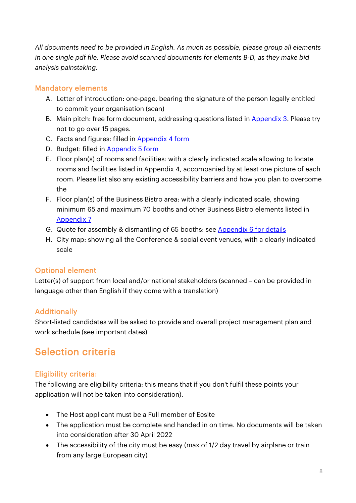*All documents need to be provided in English. As much as possible, please group all elements in one single pdf file. Please avoid scanned documents for elements B-D, as they make bid analysis painstaking.*

### Mandatory elements

- A. Letter of introduction: one-page, bearing the signature of the person legally entitled to commit your organisation (scan)
- B. Main pitch: free form document, addressing questions listed in [Appendix 3.](#page-12-0) Please try not to go over 15 pages.
- C. Facts and figures: filled in [Appendix 4 form](#page-13-0)
- D. Budget: filled in [Appendix 5 form](#page-13-1)
- E. Floor plan(s) of rooms and facilities: with a clearly indicated scale allowing to locate rooms and facilities listed in Appendix 4, accompanied by at least one picture of each room. Please list also any existing accessibility barriers and how you plan to overcome the
- F. Floor plan(s) of the Business Bistro area: with a clearly indicated scale, showing minimum 65 and maximum 70 booths and other Business Bistro elements listed in [Appendix 7](#page-16-0)
- G. Quote for assembly & dismantling of 65 booths: see [Appendix 6 for details](#page-13-2)
- H. City map: showing all the Conference & social event venues, with a clearly indicated scale

### Optional element

Letter(s) of support from local and/or national stakeholders (scanned – can be provided in language other than English if they come with a translation)

### **Additionally**

Short-listed candidates will be asked to provide and overall project management plan and work schedule (see important dates)

# <span id="page-7-0"></span>Selection criteria

### Eligibility criteria:

The following are eligibility criteria: this means that if you don't fulfil these points your application will not be taken into consideration).

- The Host applicant must be a Full member of Ecsite
- The application must be complete and handed in on time. No documents will be taken into consideration after 30 April 2022
- The accessibility of the city must be easy (max of 1/2 day travel by airplane or train from any large European city)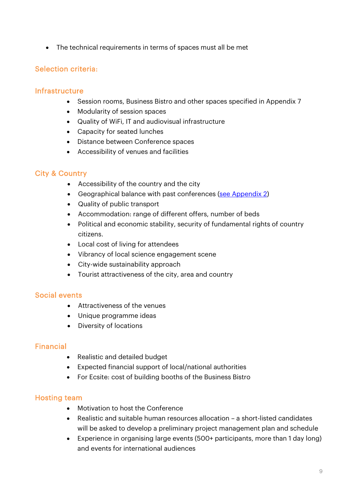• The technical requirements in terms of spaces must all be met

### Selection criteria:

#### **Infrastructure**

- Session rooms, Business Bistro and other spaces specified in Appendix 7
- Modularity of session spaces
- Quality of WiFi, IT and audiovisual infrastructure
- Capacity for seated lunches
- Distance between Conference spaces
- Accessibility of venues and facilities

### City & Country

- Accessibility of the country and the city
- Geographical balance with past conferences [\(see Appendix 2\)](#page-11-1)
- Quality of public transport
- Accommodation: range of different offers, number of beds
- Political and economic stability, security of fundamental rights of country citizens.
- Local cost of living for attendees
- Vibrancy of local science engagement scene
- City-wide sustainability approach
- Tourist attractiveness of the city, area and country

#### Social events

- Attractiveness of the venues
- Unique programme ideas
- Diversity of locations

#### Financial

- Realistic and detailed budget
- Expected financial support of local/national authorities
- For Ecsite: cost of building booths of the Business Bistro

#### Hosting team

- Motivation to host the Conference
- Realistic and suitable human resources allocation a short-listed candidates will be asked to develop a preliminary project management plan and schedule
- Experience in organising large events (500+ participants, more than 1 day long) and events for international audiences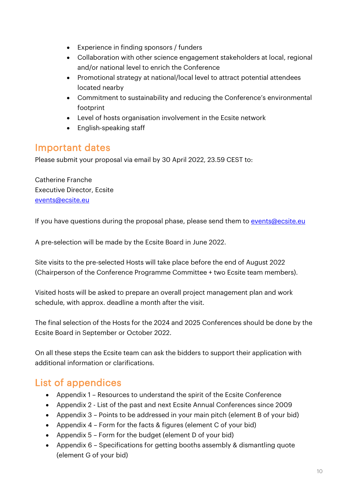- Experience in finding sponsors / funders
- Collaboration with other science engagement stakeholders at local, regional and/or national level to enrich the Conference
- Promotional strategy at national/local level to attract potential attendees located nearby
- Commitment to sustainability and reducing the Conference's environmental footprint
- Level of hosts organisation involvement in the Ecsite network
- English-speaking staff

## <span id="page-9-0"></span>Important dates

Please submit your proposal via email by 30 April 2022, 23.59 CEST to:

Catherine Franche Executive Director, Ecsite [events@ecsite.eu](mailto:events@ecsite.eu)

If you have questions during the proposal phase, please send them t[o events@ecsite.eu](mailto:events@ecsite.eu)

A pre-selection will be made by the Ecsite Board in June 2022.

Site visits to the pre-selected Hosts will take place before the end of August 2022 (Chairperson of the Conference Programme Committee + two Ecsite team members).

Visited hosts will be asked to prepare an overall project management plan and work schedule, with approx. deadline a month after the visit.

The final selection of the Hosts for the 2024 and 2025 Conferences should be done by the Ecsite Board in September or October 2022.

On all these steps the Ecsite team can ask the bidders to support their application with additional information or clarifications.

# <span id="page-9-1"></span>List of appendices

- Appendix 1 Resources to understand the spirit of the Ecsite Conference
- Appendix 2 List of the past and next Ecsite Annual Conferences since 2009
- Appendix 3 Points to be addressed in your main pitch (element B of your bid)
- Appendix 4 Form for the facts & figures (element C of your bid)
- Appendix 5 Form for the budget (element D of your bid)
- Appendix 6 Specifications for getting booths assembly & dismantling quote (element G of your bid)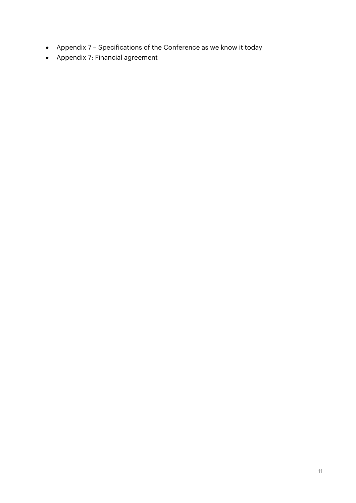- Appendix 7 Specifications of the Conference as we know it today
- Appendix 7: Financial agreement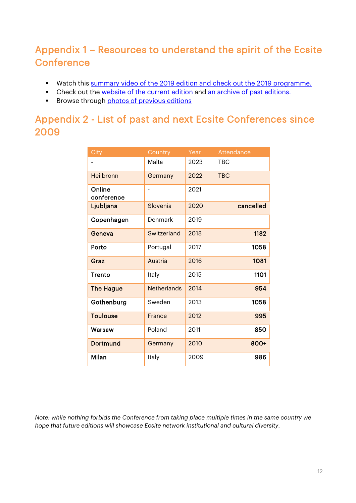# <span id="page-11-0"></span>Appendix 1 – Resources to understand the spirit of the Ecsite **Conference**

- Watch this [summary video of the 2019](https://www.youtube.com/watch?v=k95ZVrOt-rQ) edition and check out the [2019 programme.](https://www.ecsite.eu/sites/default/files/ecsite_printed_program_web.pdf)
- Check out the [website of the current edition](https://www.ecsite.eu/annual-conference) and [an archive of past editions.](https://www.ecsite.eu/activities-and-services/ecsite-events/conferences)
- Browse through [photos of previous editions](https://www.flickr.com/photos/79586792@N02/)

# <span id="page-11-1"></span>Appendix 2 - List of past and next Ecsite Conferences since 2009

| City                 | Country            | Year | <b>Attendance</b> |
|----------------------|--------------------|------|-------------------|
|                      | Malta              | 2023 | <b>TBC</b>        |
| Heilbronn            | Germany            | 2022 | <b>TBC</b>        |
| Online<br>conference |                    | 2021 |                   |
| Ljubljana            | Slovenia           | 2020 | cancelled         |
| Copenhagen           | Denmark            | 2019 |                   |
| Geneva               | Switzerland        | 2018 | 1182              |
| Porto                | Portugal           | 2017 | 1058              |
| Graz                 | Austria            | 2016 | 1081              |
| Trento               | Italy              | 2015 | 1101              |
| <b>The Hague</b>     | <b>Netherlands</b> | 2014 | 954               |
| Gothenburg           | Sweden             | 2013 | 1058              |
| <b>Toulouse</b>      | France             | 2012 | 995               |
| Warsaw               | Poland             | 2011 | 850               |
| <b>Dortmund</b>      | Germany            | 2010 | 800+              |
| Milan                | Italy              | 2009 | 986               |

*Note: while nothing forbids the Conference from taking place multiple times in the same country we hope that future editions will showcase Ecsite network institutional and cultural diversity.*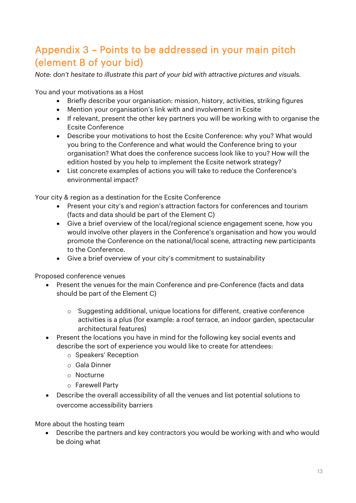# <span id="page-12-0"></span>Appendix 3 – Points to be addressed in your main pitch (element B of your bid)

*Note: don't hesitate to illustrate this part of your bid with attractive pictures and visuals.*

You and your motivations as a Host

- Briefly describe your organisation: mission, history, activities, striking figures
- Mention your organisation's link with and involvement in Ecsite
- If relevant, present the other key partners you will be working with to organise the Ecsite Conference
- Describe your motivations to host the Ecsite Conference: why you? What would you bring to the Conference and what would the Conference bring to your organisation? What does the conference success look like to you? How will the edition hosted by you help to implement the Ecsite network strategy?
- List concrete examples of actions you will take to reduce the Conference's environmental impact?

Your city & region as a destination for the Ecsite Conference

- Present your city's and region's attraction factors for conferences and tourism (facts and data should be part of the Element C)
- Give a brief overview of the local/regional science engagement scene, how you would involve other players in the Conference's organisation and how you would promote the Conference on the national/local scene, attracting new participants to the Conference.
- Give a brief overview of your city's commitment to sustainability

Proposed conference venues

- Present the venues for the main Conference and pre-Conference (facts and data should be part of the Element C)
	- o Suggesting additional, unique locations for different, creative conference activities is a plus (for example: a roof terrace, an indoor garden, spectacular architectural features)
- Present the locations you have in mind for the following key social events and describe the sort of experience you would like to create for attendees:
	- o Speakers' Reception
	- o Gala Dinner
	- o Nocturne
	- o Farewell Party
- Describe the overall accessibility of all the venues and list potential solutions to overcome accessibility barriers

More about the hosting team

• Describe the partners and key contractors you would be working with and who would be doing what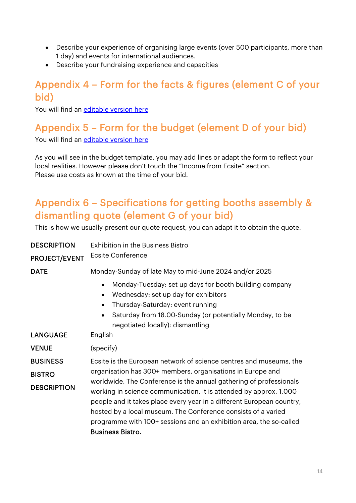- Describe your experience of organising large events (over 500 participants, more than 1 day) and events for international audiences.
- Describe your fundraising experience and capacities

# <span id="page-13-0"></span>Appendix 4 – Form for the facts & figures (element C of your bid)

<span id="page-13-1"></span>You will find an [editable version](https://www.ecsite.eu/sites/default/files/appendix4_factsfigures_ecsiteconferencebid2024-2025_final.docx) here

# Appendix 5 – Form for the budget (element D of your bid)

You will find an [editable version](https://www.ecsite.eu/sites/default/files/appendix5_budget_ecsiteconferencebid2024-2025_final.xlsx) here

As you will see in the budget template, you may add lines or adapt the form to reflect your local realities. However please don't touch the "Income from Ecsite" section. Please use costs as known at the time of your bid.

# <span id="page-13-2"></span>Appendix 6 – Specifications for getting booths assembly & dismantling quote (element G of your bid)

This is how we usually present our quote request, you can adapt it to obtain the quote.

| <b>DESCRIPTION</b><br><b>PROJECT/EVENT</b> | <b>Exhibition in the Business Bistro</b><br><b>Ecsite Conference</b>                                                                                                                                                                                                                                                                                                               |  |
|--------------------------------------------|------------------------------------------------------------------------------------------------------------------------------------------------------------------------------------------------------------------------------------------------------------------------------------------------------------------------------------------------------------------------------------|--|
| <b>DATE</b>                                | Monday-Sunday of late May to mid-June 2024 and/or 2025<br>Monday-Tuesday: set up days for booth building company<br>Wednesday: set up day for exhibitors<br>$\bullet$<br>Thursday-Saturday: event running<br>Saturday from 18.00-Sunday (or potentially Monday, to be<br>$\bullet$                                                                                                 |  |
| <b>LANGUAGE</b>                            | negotiated locally): dismantling<br>English                                                                                                                                                                                                                                                                                                                                        |  |
| <b>VENUE</b>                               | (specify)                                                                                                                                                                                                                                                                                                                                                                          |  |
| <b>BUSINESS</b>                            | Ecsite is the European network of science centres and museums, the                                                                                                                                                                                                                                                                                                                 |  |
| <b>BISTRO</b>                              | organisation has 300+ members, organisations in Europe and                                                                                                                                                                                                                                                                                                                         |  |
| <b>DESCRIPTION</b>                         | worldwide. The Conference is the annual gathering of professionals<br>working in science communication. It is attended by approx. 1,000<br>people and it takes place every year in a different European country,<br>hosted by a local museum. The Conference consists of a varied<br>programme with 100+ sessions and an exhibition area, the so-called<br><b>Business Bistro.</b> |  |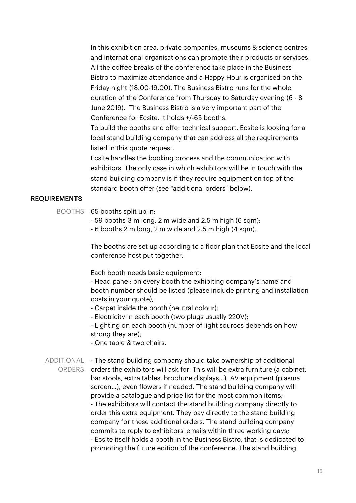In this exhibition area, private companies, museums & science centres and international organisations can promote their products or services. All the coffee breaks of the conference take place in the Business Bistro to maximize attendance and a Happy Hour is organised on the Friday night (18.00-19.00). The Business Bistro runs for the whole duration of the Conference from Thursday to Saturday evening (6 - 8 June 2019). The Business Bistro is a very important part of the Conference for Ecsite. It holds +/-65 booths.

To build the booths and offer technical support, Ecsite is looking for a local stand building company that can address all the requirements listed in this quote request.

Ecsite handles the booking process and the communication with exhibitors. The only case in which exhibitors will be in touch with the stand building company is if they require equipment on top of the standard booth offer (see "additional orders" below).

#### REQUIREMENTS

#### BOOTHS 65 booths split up in:

- 59 booths 3 m long, 2 m wide and 2.5 m high (6 sqm);
- 6 booths 2 m long, 2 m wide and 2.5 m high (4 sqm).

The booths are set up according to a floor plan that Ecsite and the local conference host put together.

Each booth needs basic equipment:

- Head panel: on every booth the exhibiting company's name and booth number should be listed (please include printing and installation costs in your quote);

- Carpet inside the booth (neutral colour);
- Electricity in each booth (two plugs usually 220V);

- Lighting on each booth (number of light sources depends on how strong they are);

- One table & two chairs.

ADDITIONAL - The stand building company should take ownership of additional ORDERS orders the exhibitors will ask for. This will be extra furniture (a cabinet, bar stools, extra tables, brochure displays…), AV equipment (plasma screen…), even flowers if needed. The stand building company will provide a catalogue and price list for the most common items; - The exhibitors will contact the stand building company directly to order this extra equipment. They pay directly to the stand building company for these additional orders. The stand building company commits to reply to exhibitors' emails within three working days; - Ecsite itself holds a booth in the Business Bistro, that is dedicated to promoting the future edition of the conference. The stand building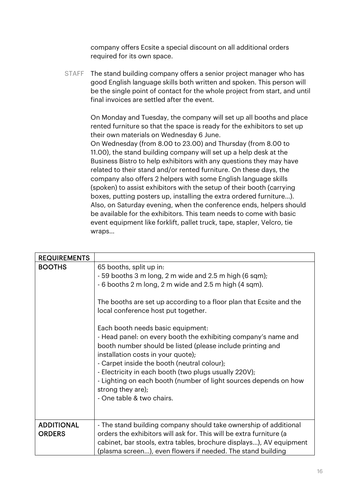company offers Ecsite a special discount on all additional orders required for its own space.

STAFF The stand building company offers a senior project manager who has good English language skills both written and spoken. This person will be the single point of contact for the whole project from start, and until final invoices are settled after the event.

> On Monday and Tuesday, the company will set up all booths and place rented furniture so that the space is ready for the exhibitors to set up their own materials on Wednesday 6 June.

> On Wednesday (from 8.00 to 23.00) and Thursday (from 8.00 to 11.00), the stand building company will set up a help desk at the Business Bistro to help exhibitors with any questions they may have related to their stand and/or rented furniture. On these days, the company also offers 2 helpers with some English language skills (spoken) to assist exhibitors with the setup of their booth (carrying boxes, putting posters up, installing the extra ordered furniture…). Also, on Saturday evening, when the conference ends, helpers should be available for the exhibitors. This team needs to come with basic event equipment like forklift, pallet truck, tape, stapler, Velcro, tie wraps…

| <b>REQUIREMENTS</b>                |                                                                                                                                                                                                                                                                                                                                                                                                                                                                                                                                                                                                                                                                                                   |
|------------------------------------|---------------------------------------------------------------------------------------------------------------------------------------------------------------------------------------------------------------------------------------------------------------------------------------------------------------------------------------------------------------------------------------------------------------------------------------------------------------------------------------------------------------------------------------------------------------------------------------------------------------------------------------------------------------------------------------------------|
| <b>BOOTHS</b>                      | 65 booths, split up in:<br>- 59 booths 3 m long, 2 m wide and 2.5 m high (6 sqm);<br>- 6 booths 2 m long, 2 m wide and 2.5 m high (4 sqm).<br>The booths are set up according to a floor plan that Ecsite and the<br>local conference host put together.<br>Each booth needs basic equipment:<br>- Head panel: on every booth the exhibiting company's name and<br>booth number should be listed (please include printing and<br>installation costs in your quote);<br>- Carpet inside the booth (neutral colour);<br>- Electricity in each booth (two plugs usually 220V);<br>- Lighting on each booth (number of light sources depends on how<br>strong they are);<br>- One table & two chairs. |
| <b>ADDITIONAL</b><br><b>ORDERS</b> | - The stand building company should take ownership of additional<br>orders the exhibitors will ask for. This will be extra furniture (a<br>cabinet, bar stools, extra tables, brochure displays), AV equipment<br>(plasma screen), even flowers if needed. The stand building                                                                                                                                                                                                                                                                                                                                                                                                                     |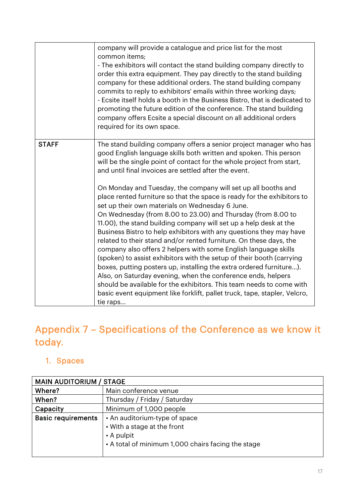|              | company will provide a catalogue and price list for the most<br>common items;<br>- The exhibitors will contact the stand building company directly to<br>order this extra equipment. They pay directly to the stand building<br>company for these additional orders. The stand building company<br>commits to reply to exhibitors' emails within three working days;<br>- Ecsite itself holds a booth in the Business Bistro, that is dedicated to<br>promoting the future edition of the conference. The stand building<br>company offers Ecsite a special discount on all additional orders<br>required for its own space. |
|--------------|------------------------------------------------------------------------------------------------------------------------------------------------------------------------------------------------------------------------------------------------------------------------------------------------------------------------------------------------------------------------------------------------------------------------------------------------------------------------------------------------------------------------------------------------------------------------------------------------------------------------------|
| <b>STAFF</b> | The stand building company offers a senior project manager who has<br>good English language skills both written and spoken. This person<br>will be the single point of contact for the whole project from start,                                                                                                                                                                                                                                                                                                                                                                                                             |
|              | and until final invoices are settled after the event.<br>On Monday and Tuesday, the company will set up all booths and                                                                                                                                                                                                                                                                                                                                                                                                                                                                                                       |
|              | place rented furniture so that the space is ready for the exhibitors to<br>set up their own materials on Wednesday 6 June.<br>On Wednesday (from 8.00 to 23.00) and Thursday (from 8.00 to                                                                                                                                                                                                                                                                                                                                                                                                                                   |
|              | 11.00), the stand building company will set up a help desk at the<br>Business Bistro to help exhibitors with any questions they may have<br>related to their stand and/or rented furniture. On these days, the<br>company also offers 2 helpers with some English language skills<br>(spoken) to assist exhibitors with the setup of their booth (carrying                                                                                                                                                                                                                                                                   |
|              | boxes, putting posters up, installing the extra ordered furniture).<br>Also, on Saturday evening, when the conference ends, helpers<br>should be available for the exhibitors. This team needs to come with<br>basic event equipment like forklift, pallet truck, tape, stapler, Velcro,                                                                                                                                                                                                                                                                                                                                     |
|              | tie raps                                                                                                                                                                                                                                                                                                                                                                                                                                                                                                                                                                                                                     |

# <span id="page-16-0"></span>Appendix 7 – Specifications of the Conference as we know it today.

# <span id="page-16-1"></span>1. Spaces

| <b>MAIN AUDITORIUM / STAGE</b> |                                                                                                                                  |  |
|--------------------------------|----------------------------------------------------------------------------------------------------------------------------------|--|
| Where?                         | Main conference venue                                                                                                            |  |
| When?                          | Thursday / Friday / Saturday                                                                                                     |  |
| Capacity                       | Minimum of 1,000 people                                                                                                          |  |
| <b>Basic requirements</b>      | • An auditorium-type of space<br>• With a stage at the front<br>• A pulpit<br>• A total of minimum 1,000 chairs facing the stage |  |
|                                |                                                                                                                                  |  |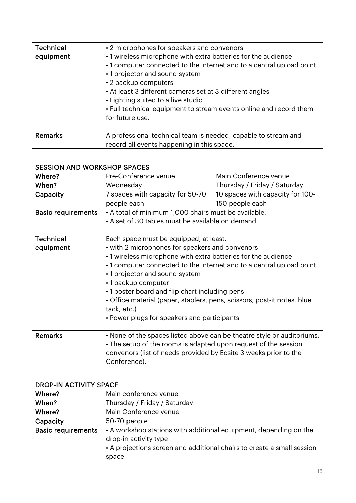| <b>Technical</b><br>equipment | • 2 microphones for speakers and convenors<br>• 1 wireless microphone with extra batteries for the audience<br>•1 computer connected to the Internet and to a central upload point<br>•1 projector and sound system<br>• 2 backup computers<br>• At least 3 different cameras set at 3 different angles<br>• Lighting suited to a live studio<br>• Full technical equipment to stream events online and record them<br>for future use. |
|-------------------------------|----------------------------------------------------------------------------------------------------------------------------------------------------------------------------------------------------------------------------------------------------------------------------------------------------------------------------------------------------------------------------------------------------------------------------------------|
| Remarks                       | A professional technical team is needed, capable to stream and<br>record all events happening in this space.                                                                                                                                                                                                                                                                                                                           |

| <b>SESSION AND WORKSHOP SPACES</b> |                                                                         |                                                                        |  |
|------------------------------------|-------------------------------------------------------------------------|------------------------------------------------------------------------|--|
| Where?                             | Pre-Conference venue                                                    | Main Conference venue                                                  |  |
| When?                              | Wednesday                                                               | Thursday / Friday / Saturday                                           |  |
| Capacity                           | 7 spaces with capacity for 50-70                                        | 10 spaces with capacity for 100-                                       |  |
|                                    | people each                                                             | 150 people each                                                        |  |
| <b>Basic requirements</b>          | • A total of minimum 1,000 chairs must be available.                    |                                                                        |  |
|                                    | • A set of 30 tables must be available on demand.                       |                                                                        |  |
|                                    |                                                                         |                                                                        |  |
| <b>Technical</b>                   | Each space must be equipped, at least,                                  |                                                                        |  |
| equipment                          | • with 2 microphones for speakers and convenors                         |                                                                        |  |
|                                    | •1 wireless microphone with extra batteries for the audience            |                                                                        |  |
|                                    | •1 computer connected to the Internet and to a central upload point     |                                                                        |  |
|                                    | •1 projector and sound system                                           |                                                                        |  |
|                                    | •1 backup computer                                                      |                                                                        |  |
|                                    | • 1 poster board and flip chart including pens                          |                                                                        |  |
|                                    | • Office material (paper, staplers, pens, scissors, post-it notes, blue |                                                                        |  |
|                                    | tack, etc.)                                                             |                                                                        |  |
|                                    | • Power plugs for speakers and participants                             |                                                                        |  |
|                                    |                                                                         |                                                                        |  |
| <b>Remarks</b>                     |                                                                         | • None of the spaces listed above can be theatre style or auditoriums. |  |
|                                    | • The setup of the rooms is adapted upon request of the session         |                                                                        |  |
|                                    | convenors (list of needs provided by Ecsite 3 weeks prior to the        |                                                                        |  |
|                                    | Conference).                                                            |                                                                        |  |

| <b>DROP-IN ACTIVITY SPACE</b> |                                                                                            |  |
|-------------------------------|--------------------------------------------------------------------------------------------|--|
| Where?                        | Main conference venue                                                                      |  |
| When?                         | Thursday / Friday / Saturday                                                               |  |
| Where?                        | Main Conference venue                                                                      |  |
| Capacity                      | 50-70 people                                                                               |  |
| <b>Basic requirements</b>     | • A workshop stations with additional equipment, depending on the<br>drop-in activity type |  |
|                               | • A projections screen and additional chairs to create a small session                     |  |
|                               | space                                                                                      |  |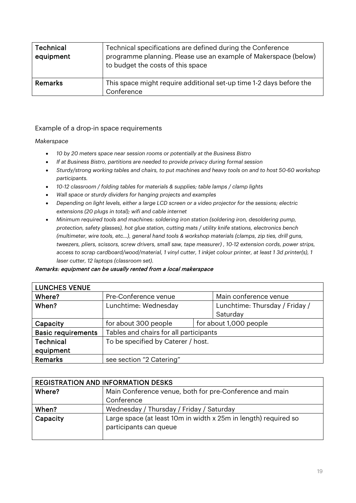| <b>Technical</b><br>equipment | Technical specifications are defined during the Conference<br>programme planning. Please use an example of Makerspace (below)<br>to budget the costs of this space |
|-------------------------------|--------------------------------------------------------------------------------------------------------------------------------------------------------------------|
| Remarks                       | This space might require additional set-up time 1-2 days before the<br>Conference                                                                                  |

#### Example of a drop-in space requirements

#### *Makerspace*

- *10 by 20 meters space near session rooms or potentially at the Business Bistro*
- *If at Business Bistro, partitions are needed to provide privacy during formal session*
- *Sturdy/strong working tables and chairs, to put machines and heavy tools on and to host 50-60 workshop participants.*
- *10-12 classroom / folding tables for materials & supplies; table lamps / clamp lights*
- *Wall space or sturdy dividers for hanging projects and examples*
- *Depending on light levels, either a large LCD screen or a video projector for the sessions; electric extensions (20 plugs in total); wifi and cable internet*
- *Minimum required tools and machines: soldering iron station (soldering iron, desoldering pump, protection, safety glasses), hot glue station, cutting mats / utility knife stations, electronics bench (multimeter, wire tools, etc…), general hand tools & workshop materials (clamps, zip ties, drill guns, tweezers, pliers, scissors, screw drivers, small saw, tape measurer) , 10-12 extension cords, power strips, access to scrap cardboard/wood/material, 1 vinyl cutter, 1 inkjet colour printer, at least 1 3d printer(s), 1 laser cutter, 12 laptops (classroom set).*

#### Remarks: equipment can be usually rented from a local makerspace

| <b>LUNCHES VENUE</b>      |                                        |                                |
|---------------------------|----------------------------------------|--------------------------------|
| Where?                    | Pre-Conference venue                   | Main conference venue          |
| When?                     | Lunchtime: Wednesday                   | Lunchtime: Thursday / Friday / |
|                           |                                        | Saturday                       |
| Capacity                  | for about 300 people                   | for about 1,000 people         |
| <b>Basic requirements</b> | Tables and chairs for all participants |                                |
| <b>Technical</b>          | To be specified by Caterer / host.     |                                |
| equipment                 |                                        |                                |
| Remarks                   | see section "2 Catering"               |                                |

| <b>REGISTRATION AND INFORMATION DESKS</b> |                                                                                           |  |
|-------------------------------------------|-------------------------------------------------------------------------------------------|--|
| Where?                                    | Main Conference venue, both for pre-Conference and main                                   |  |
|                                           | Conference                                                                                |  |
| When?                                     | Wednesday / Thursday / Friday / Saturday                                                  |  |
| Capacity                                  | Large space (at least 10m in width x 25m in length) required so<br>participants can queue |  |
|                                           |                                                                                           |  |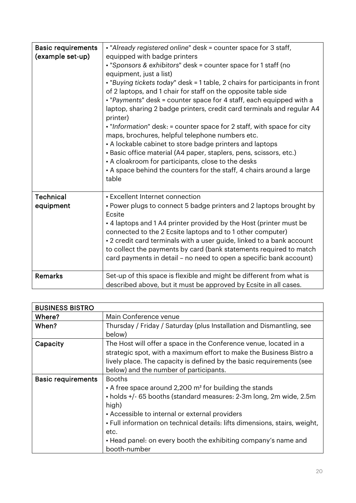| <b>Basic requirements</b><br>(example set-up) | . "Already registered online" desk = counter space for 3 staff,<br>equipped with badge printers<br>. "Sponsors & exhibitors" desk = counter space for 1 staff (no<br>equipment, just a list)<br>. "Buying tickets today" desk = 1 table, 2 chairs for participants in front<br>of 2 laptops, and 1 chair for staff on the opposite table side<br>. "Payments" desk = counter space for 4 staff, each equipped with a<br>laptop, sharing 2 badge printers, credit card terminals and regular A4<br>printer)<br>. "Information" desk: = counter space for 2 staff, with space for city<br>maps, brochures, helpful telephone numbers etc.<br>• A lockable cabinet to store badge printers and laptops<br>• Basic office material (A4 paper, staplers, pens, scissors, etc.)<br>• A cloakroom for participants, close to the desks<br>• A space behind the counters for the staff, 4 chairs around a large<br>table |
|-----------------------------------------------|------------------------------------------------------------------------------------------------------------------------------------------------------------------------------------------------------------------------------------------------------------------------------------------------------------------------------------------------------------------------------------------------------------------------------------------------------------------------------------------------------------------------------------------------------------------------------------------------------------------------------------------------------------------------------------------------------------------------------------------------------------------------------------------------------------------------------------------------------------------------------------------------------------------|
| <b>Technical</b><br>equipment                 | • Excellent Internet connection<br>• Power plugs to connect 5 badge printers and 2 laptops brought by<br>Ecsite<br>• 4 laptops and 1 A4 printer provided by the Host (printer must be<br>connected to the 2 Ecsite laptops and to 1 other computer)<br>• 2 credit card terminals with a user guide, linked to a bank account<br>to collect the payments by card (bank statements required to match<br>card payments in detail - no need to open a specific bank account)                                                                                                                                                                                                                                                                                                                                                                                                                                         |
| <b>Remarks</b>                                | Set-up of this space is flexible and might be different from what is<br>described above, but it must be approved by Ecsite in all cases.                                                                                                                                                                                                                                                                                                                                                                                                                                                                                                                                                                                                                                                                                                                                                                         |

| <b>BUSINESS BISTRO</b>    |                                                                                                                                                                                                                                                                                                                                                                                              |
|---------------------------|----------------------------------------------------------------------------------------------------------------------------------------------------------------------------------------------------------------------------------------------------------------------------------------------------------------------------------------------------------------------------------------------|
| Where?                    | Main Conference venue                                                                                                                                                                                                                                                                                                                                                                        |
| When?                     | Thursday / Friday / Saturday (plus Installation and Dismantling, see<br>below)                                                                                                                                                                                                                                                                                                               |
| Capacity                  | The Host will offer a space in the Conference venue, located in a<br>strategic spot, with a maximum effort to make the Business Bistro a<br>lively place. The capacity is defined by the basic requirements (see<br>below) and the number of participants.                                                                                                                                   |
| <b>Basic requirements</b> | <b>Booths</b><br>• A free space around 2,200 m <sup>2</sup> for building the stands<br>• holds +/- 65 booths (standard measures: 2-3m long, 2m wide, 2.5m<br>high)<br>• Accessible to internal or external providers<br>. Full information on technical details: lifts dimensions, stairs, weight,<br>etc.<br>• Head panel: on every booth the exhibiting company's name and<br>booth-number |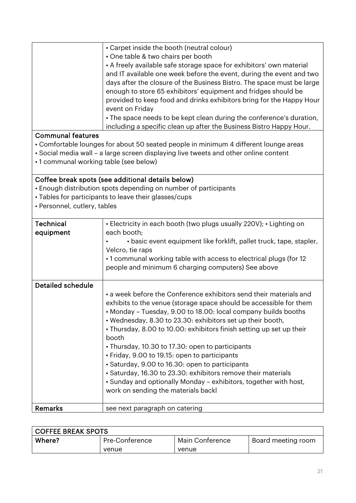| • Carpet inside the booth (neutral colour)                             |
|------------------------------------------------------------------------|
| • One table & two chairs per booth                                     |
| • A freely available safe storage space for exhibitors' own material   |
| and IT available one week before the event, during the event and two   |
| days after the closure of the Business Bistro. The space must be large |
| enough to store 65 exhibitors' equipment and fridges should be         |
| provided to keep food and drinks exhibitors bring for the Happy Hour   |
| event on Friday                                                        |
| • The space needs to be kept clean during the conference's duration,   |
| including a specific clean up after the Business Bistro Happy Hour.    |

### Communal features

- Comfortable lounges for about 50 seated people in minimum 4 different lounge areas
- Social media wall a large screen displaying live tweets and other online content
- 1 communal working table (see below)

### Coffee break spots (see additional details below)

- Enough distribution spots depending on number of participants
- Tables for participants to leave their glasses/cups
- Personnel, cutlery, tables

| <b>Technical</b><br>equipment | • Electricity in each booth (two plugs usually 220V); • Lighting on<br>each booth;                                                                                                                                                                                                                                                                                                                                                                                                                                                                                                                                                                                                            |  |
|-------------------------------|-----------------------------------------------------------------------------------------------------------------------------------------------------------------------------------------------------------------------------------------------------------------------------------------------------------------------------------------------------------------------------------------------------------------------------------------------------------------------------------------------------------------------------------------------------------------------------------------------------------------------------------------------------------------------------------------------|--|
|                               | • basic event equipment like forklift, pallet truck, tape, stapler,<br>Velcro, tie raps                                                                                                                                                                                                                                                                                                                                                                                                                                                                                                                                                                                                       |  |
|                               | •1 communal working table with access to electrical plugs (for 12)                                                                                                                                                                                                                                                                                                                                                                                                                                                                                                                                                                                                                            |  |
|                               | people and minimum 6 charging computers) See above                                                                                                                                                                                                                                                                                                                                                                                                                                                                                                                                                                                                                                            |  |
| Detailed schedule             |                                                                                                                                                                                                                                                                                                                                                                                                                                                                                                                                                                                                                                                                                               |  |
|                               | • a week before the Conference exhibitors send their materials and<br>exhibits to the venue (storage space should be accessible for them<br>• Monday – Tuesday, 9.00 to 18.00: local company builds booths<br>• Wednesday, 8.30 to 23.30: exhibitors set up their booth,<br>• Thursday, 8.00 to 10.00: exhibitors finish setting up set up their<br>booth<br>• Thursday, 10.30 to 17.30: open to participants<br>• Friday, 9.00 to 19.15: open to participants<br>• Saturday, 9.00 to 16.30: open to participants<br>• Saturday, 16.30 to 23.30: exhibitors remove their materials<br>• Sunday and optionally Monday – exhibitors, together with host,<br>work on sending the materials backl |  |
| <b>Remarks</b>                | see next paragraph on catering                                                                                                                                                                                                                                                                                                                                                                                                                                                                                                                                                                                                                                                                |  |

| <b>COFFEE BREAK SPOTS</b> |                |                 |                    |
|---------------------------|----------------|-----------------|--------------------|
| Where?                    | Pre-Conference | Main Conference | Board meeting room |
|                           | venue          | venue           |                    |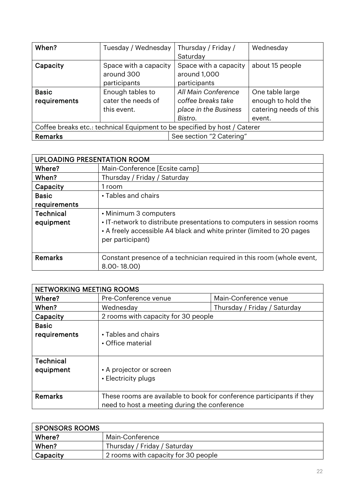| When?                                                                     | Tuesday / Wednesday                                   | Thursday / Friday /<br>Saturday                                               | Wednesday                                                                 |
|---------------------------------------------------------------------------|-------------------------------------------------------|-------------------------------------------------------------------------------|---------------------------------------------------------------------------|
| Capacity                                                                  | Space with a capacity<br>around 300<br>participants   | Space with a capacity<br>around 1,000<br>participants                         | about 15 people                                                           |
| <b>Basic</b><br>requirements                                              | Enough tables to<br>cater the needs of<br>this event. | All Main Conference<br>coffee breaks take<br>place in the Business<br>Bistro. | One table large<br>enough to hold the<br>catering needs of this<br>event. |
| Coffee breaks etc.: technical Equipment to be specified by host / Caterer |                                                       |                                                                               |                                                                           |
| Remarks                                                                   | See section "2 Catering"                              |                                                                               |                                                                           |

| <b>UPLOADING PRESENTATION ROOM</b> |                                                                        |
|------------------------------------|------------------------------------------------------------------------|
| Where?                             | Main-Conference [Ecsite camp]                                          |
| When?                              | Thursday / Friday / Saturday                                           |
| Capacity                           | 1 room                                                                 |
| <b>Basic</b>                       | • Tables and chairs                                                    |
| requirements                       |                                                                        |
| <b>Technical</b>                   | • Minimum 3 computers                                                  |
| equipment                          | • IT-network to distribute presentations to computers in session rooms |
|                                    | • A freely accessible A4 black and white printer (limited to 20 pages  |
|                                    | per participant)                                                       |
|                                    |                                                                        |
| <b>Remarks</b>                     | Constant presence of a technician required in this room (whole event,  |
|                                    | $8.00 - 18.00$                                                         |

| <b>NETWORKING MEETING ROOMS</b> |                                                                       |                              |
|---------------------------------|-----------------------------------------------------------------------|------------------------------|
| Where?                          | Pre-Conference venue                                                  | Main-Conference venue        |
| When?                           | Wednesday                                                             | Thursday / Friday / Saturday |
| Capacity                        | 2 rooms with capacity for 30 people                                   |                              |
| <b>Basic</b>                    |                                                                       |                              |
| requirements                    | • Tables and chairs                                                   |                              |
|                                 | • Office material                                                     |                              |
|                                 |                                                                       |                              |
| <b>Technical</b>                |                                                                       |                              |
| equipment                       | • A projector or screen                                               |                              |
|                                 | • Electricity plugs                                                   |                              |
|                                 |                                                                       |                              |
| <b>Remarks</b>                  | These rooms are available to book for conference participants if they |                              |
|                                 | need to host a meeting during the conference                          |                              |

| SPONSORS ROOMS |                                     |
|----------------|-------------------------------------|
| Where?         | Main-Conference                     |
| When?          | Thursday / Friday / Saturday        |
| Capacity       | 2 rooms with capacity for 30 people |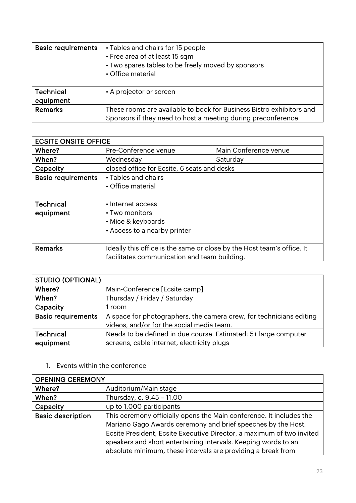| <b>Basic requirements</b>     | • Tables and chairs for 15 people<br>• Free area of at least 15 sqm<br>• Two spares tables to be freely moved by sponsors<br>• Office material |
|-------------------------------|------------------------------------------------------------------------------------------------------------------------------------------------|
| <b>Technical</b><br>equipment | • A projector or screen                                                                                                                        |
| Remarks                       | These rooms are available to book for Business Bistro exhibitors and<br>Sponsors if they need to host a meeting during preconference           |

| <b>ECSITE ONSITE OFFICE</b> |                                                                        |                       |
|-----------------------------|------------------------------------------------------------------------|-----------------------|
| Where?                      | Pre-Conference venue                                                   | Main Conference venue |
| When?                       | Wednesday                                                              | Saturday              |
| Capacity                    | closed office for Ecsite, 6 seats and desks                            |                       |
| <b>Basic requirements</b>   | • Tables and chairs                                                    |                       |
|                             | • Office material                                                      |                       |
|                             |                                                                        |                       |
| <b>Technical</b>            | • Internet access                                                      |                       |
| equipment                   | • Two monitors                                                         |                       |
|                             | • Mice & keyboards                                                     |                       |
|                             | • Access to a nearby printer                                           |                       |
|                             |                                                                        |                       |
| <b>Remarks</b>              | Ideally this office is the same or close by the Host team's office. It |                       |
|                             | facilitates communication and team building.                           |                       |

| <b>STUDIO (OPTIONAL)</b>  |                                                                     |  |
|---------------------------|---------------------------------------------------------------------|--|
| Where?                    | Main-Conference [Ecsite camp]                                       |  |
| When?                     | Thursday / Friday / Saturday                                        |  |
| Capacity                  | 1 room                                                              |  |
| <b>Basic requirements</b> | A space for photographers, the camera crew, for technicians editing |  |
|                           | videos, and/or for the social media team.                           |  |
| <b>Technical</b>          | Needs to be defined in due course. Estimated: 5+ large computer     |  |
| equipment                 | screens, cable internet, electricity plugs                          |  |

1. Events within the conference

| <b>OPENING CEREMONY</b>  |                                                                       |  |  |  |
|--------------------------|-----------------------------------------------------------------------|--|--|--|
| Where?                   | Auditorium/Main stage                                                 |  |  |  |
| When?                    | Thursday, c. 9.45 - 11.00                                             |  |  |  |
| Capacity                 | up to 1,000 participants                                              |  |  |  |
| <b>Basic description</b> | This ceremony officially opens the Main conference. It includes the   |  |  |  |
|                          | Mariano Gago Awards ceremony and brief speeches by the Host,          |  |  |  |
|                          | Ecsite President, Ecsite Executive Director, a maximum of two invited |  |  |  |
|                          | speakers and short entertaining intervals. Keeping words to an        |  |  |  |
|                          | absolute minimum, these intervals are providing a break from          |  |  |  |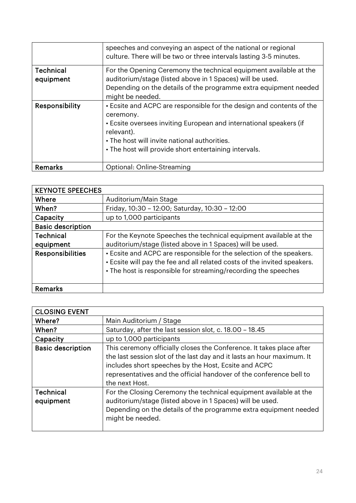|                               | speeches and conveying an aspect of the national or regional<br>culture. There will be two or three intervals lasting 3-5 minutes.                                                                                                                                             |  |  |  |  |
|-------------------------------|--------------------------------------------------------------------------------------------------------------------------------------------------------------------------------------------------------------------------------------------------------------------------------|--|--|--|--|
| <b>Technical</b><br>equipment | For the Opening Ceremony the technical equipment available at the<br>auditorium/stage (listed above in 1 Spaces) will be used.<br>Depending on the details of the programme extra equipment needed<br>might be needed.                                                         |  |  |  |  |
| Responsibility                | • Ecsite and ACPC are responsible for the design and contents of the<br>ceremony.<br>• Ecsite oversees inviting European and international speakers (if<br>relevant).<br>• The host will invite national authorities.<br>. The host will provide short entertaining intervals. |  |  |  |  |
| Remarks                       | Optional: Online-Streaming                                                                                                                                                                                                                                                     |  |  |  |  |

| <b>KEYNOTE SPEECHES</b>  |                                                                                                                                                                                                                    |  |  |  |  |
|--------------------------|--------------------------------------------------------------------------------------------------------------------------------------------------------------------------------------------------------------------|--|--|--|--|
| Where                    | Auditorium/Main Stage                                                                                                                                                                                              |  |  |  |  |
| When?                    | Friday, 10:30 - 12:00; Saturday, 10:30 - 12:00                                                                                                                                                                     |  |  |  |  |
| Capacity                 | up to 1,000 participants                                                                                                                                                                                           |  |  |  |  |
| <b>Basic description</b> |                                                                                                                                                                                                                    |  |  |  |  |
| <b>Technical</b>         | For the Keynote Speeches the technical equipment available at the                                                                                                                                                  |  |  |  |  |
| equipment                | auditorium/stage (listed above in 1 Spaces) will be used.                                                                                                                                                          |  |  |  |  |
| <b>Responsibilities</b>  | • Ecsite and ACPC are responsible for the selection of the speakers.<br>. Ecsite will pay the fee and all related costs of the invited speakers.<br>• The host is responsible for streaming/recording the speeches |  |  |  |  |
| Remarks                  |                                                                                                                                                                                                                    |  |  |  |  |

| <b>CLOSING EVENT</b>          |                                                                                                                                                                                                                                                                                                 |  |  |  |  |
|-------------------------------|-------------------------------------------------------------------------------------------------------------------------------------------------------------------------------------------------------------------------------------------------------------------------------------------------|--|--|--|--|
| Where?                        | Main Auditorium / Stage                                                                                                                                                                                                                                                                         |  |  |  |  |
| When?                         | Saturday, after the last session slot, c. 18.00 - 18.45                                                                                                                                                                                                                                         |  |  |  |  |
| Capacity                      | up to 1,000 participants                                                                                                                                                                                                                                                                        |  |  |  |  |
| <b>Basic description</b>      | This ceremony officially closes the Conference. It takes place after<br>the last session slot of the last day and it lasts an hour maximum. It<br>includes short speeches by the Host, Ecsite and ACPC<br>representatives and the official handover of the conference bell to<br>the next Host. |  |  |  |  |
| <b>Technical</b><br>equipment | For the Closing Ceremony the technical equipment available at the<br>auditorium/stage (listed above in 1 Spaces) will be used.<br>Depending on the details of the programme extra equipment needed<br>might be needed.                                                                          |  |  |  |  |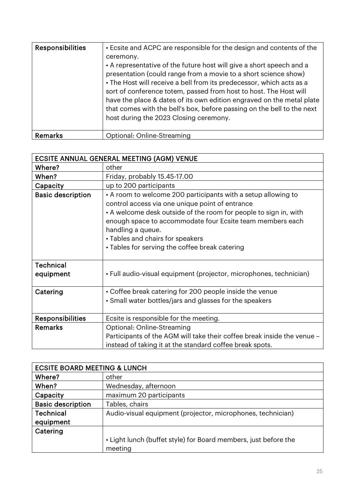| <b>Responsibilities</b> | • Ecsite and ACPC are responsible for the design and contents of the<br>ceremony.<br>• A representative of the future host will give a short speech and a<br>presentation (could range from a movie to a short science show)<br>• The Host will receive a bell from its predecessor, which acts as a<br>sort of conference totem, passed from host to host. The Host will<br>have the place & dates of its own edition engraved on the metal plate<br>that comes with the bell's box, before passing on the bell to the next<br>host during the 2023 Closing ceremony. |
|-------------------------|------------------------------------------------------------------------------------------------------------------------------------------------------------------------------------------------------------------------------------------------------------------------------------------------------------------------------------------------------------------------------------------------------------------------------------------------------------------------------------------------------------------------------------------------------------------------|
| Remarks                 | Optional: Online-Streaming                                                                                                                                                                                                                                                                                                                                                                                                                                                                                                                                             |

| <b>ECSITE ANNUAL GENERAL MEETING (AGM) VENUE</b> |                                                                                                                                                                                                                                                                                                                                                              |  |  |  |  |
|--------------------------------------------------|--------------------------------------------------------------------------------------------------------------------------------------------------------------------------------------------------------------------------------------------------------------------------------------------------------------------------------------------------------------|--|--|--|--|
| Where?                                           | other                                                                                                                                                                                                                                                                                                                                                        |  |  |  |  |
| When?                                            | Friday, probably 15.45-17.00                                                                                                                                                                                                                                                                                                                                 |  |  |  |  |
| Capacity                                         | up to 200 participants                                                                                                                                                                                                                                                                                                                                       |  |  |  |  |
| <b>Basic description</b>                         | • A room to welcome 200 participants with a setup allowing to<br>control access via one unique point of entrance<br>• A welcome desk outside of the room for people to sign in, with<br>enough space to accommodate four Ecsite team members each<br>handling a queue.<br>• Tables and chairs for speakers<br>· Tables for serving the coffee break catering |  |  |  |  |
| <b>Technical</b><br>equipment                    | • Full audio-visual equipment (projector, microphones, technician)                                                                                                                                                                                                                                                                                           |  |  |  |  |
| Catering                                         | • Coffee break catering for 200 people inside the venue<br>• Small water bottles/jars and glasses for the speakers                                                                                                                                                                                                                                           |  |  |  |  |
| <b>Responsibilities</b>                          | Ecsite is responsible for the meeting.                                                                                                                                                                                                                                                                                                                       |  |  |  |  |
| <b>Remarks</b>                                   | Optional: Online-Streaming                                                                                                                                                                                                                                                                                                                                   |  |  |  |  |
|                                                  | Participants of the AGM will take their coffee break inside the venue -                                                                                                                                                                                                                                                                                      |  |  |  |  |
|                                                  | instead of taking it at the standard coffee break spots.                                                                                                                                                                                                                                                                                                     |  |  |  |  |

| <b>ECSITE BOARD MEETING &amp; LUNCH</b> |                                                                 |  |  |  |
|-----------------------------------------|-----------------------------------------------------------------|--|--|--|
| Where?                                  | other                                                           |  |  |  |
| When?                                   | Wednesday, afternoon                                            |  |  |  |
| Capacity                                | maximum 20 participants                                         |  |  |  |
| <b>Basic description</b>                | Tables, chairs                                                  |  |  |  |
| <b>Technical</b>                        | Audio-visual equipment (projector, microphones, technician)     |  |  |  |
| equipment                               |                                                                 |  |  |  |
| Catering                                |                                                                 |  |  |  |
|                                         | • Light lunch (buffet style) for Board members, just before the |  |  |  |
|                                         | meeting                                                         |  |  |  |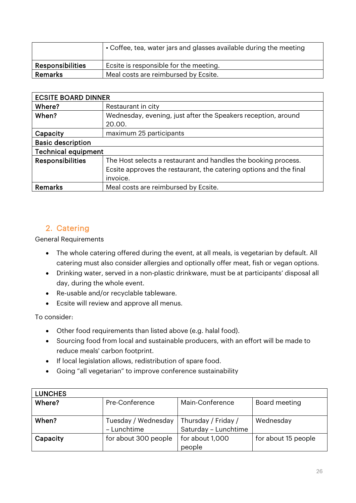|                         | • Coffee, tea, water jars and glasses available during the meeting |  |  |  |  |
|-------------------------|--------------------------------------------------------------------|--|--|--|--|
| <b>Responsibilities</b> | Ecsite is responsible for the meeting.                             |  |  |  |  |
| Remarks                 | Meal costs are reimbursed by Ecsite.                               |  |  |  |  |

| <b>ECSITE BOARD DINNER</b> |                                                                    |  |  |  |  |
|----------------------------|--------------------------------------------------------------------|--|--|--|--|
| Where?                     | Restaurant in city                                                 |  |  |  |  |
| When?                      | Wednesday, evening, just after the Speakers reception, around      |  |  |  |  |
|                            | 20.00.                                                             |  |  |  |  |
| Capacity                   | maximum 25 participants                                            |  |  |  |  |
| <b>Basic description</b>   |                                                                    |  |  |  |  |
| <b>Technical equipment</b> |                                                                    |  |  |  |  |
| <b>Responsibilities</b>    | The Host selects a restaurant and handles the booking process.     |  |  |  |  |
|                            | Ecsite approves the restaurant, the catering options and the final |  |  |  |  |
|                            | invoice.                                                           |  |  |  |  |
| Remarks                    | Meal costs are reimbursed by Ecsite.                               |  |  |  |  |

### <span id="page-25-0"></span>2. Catering

General Requirements

- The whole catering offered during the event, at all meals, is vegetarian by default. All catering must also consider allergies and optionally offer meat, fish or vegan options.
- Drinking water, served in a non-plastic drinkware, must be at participants' disposal all day, during the whole event.
- Re-usable and/or recyclable tableware.
- Ecsite will review and approve all menus.

To consider:

- Other food requirements than listed above (e.g. halal food).
- Sourcing food from local and sustainable producers, with an effort will be made to reduce meals' carbon footprint.
- If local legislation allows, redistribution of spare food.
- Going "all vegetarian" to improve conference sustainability

| <b>LUNCHES</b> |                      |                      |                     |
|----------------|----------------------|----------------------|---------------------|
| Where?         | Pre-Conference       | Main-Conference      | Board meeting       |
|                |                      |                      |                     |
| When?          | Tuesday / Wednesday  | Thursday / Friday /  | Wednesday           |
|                | - Lunchtime          | Saturday - Lunchtime |                     |
| Capacity       | for about 300 people | for about 1,000      | for about 15 people |
|                |                      | people               |                     |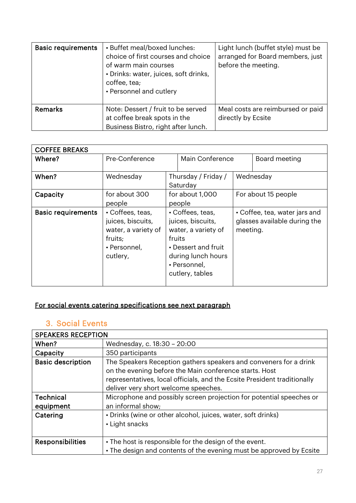| <b>Basic requirements</b> | • Buffet meal/boxed lunches:<br>choice of first courses and choice<br>of warm main courses<br>· Drinks: water, juices, soft drinks,<br>coffee, tea;<br>• Personnel and cutlery | Light lunch (buffet style) must be<br>arranged for Board members, just<br>before the meeting. |  |  |
|---------------------------|--------------------------------------------------------------------------------------------------------------------------------------------------------------------------------|-----------------------------------------------------------------------------------------------|--|--|
| <b>Remarks</b>            | Note: Dessert / fruit to be served<br>at coffee break spots in the<br>Business Bistro, right after lunch.                                                                      | Meal costs are reimbursed or paid<br>directly by Ecsite                                       |  |  |

| <b>COFFEE BREAKS</b>      |                     |                                 |                        |                               |                     |  |
|---------------------------|---------------------|---------------------------------|------------------------|-------------------------------|---------------------|--|
| Where?                    | Pre-Conference      |                                 | <b>Main Conference</b> |                               | Board meeting       |  |
|                           |                     |                                 |                        |                               |                     |  |
| When?                     | Wednesday           |                                 | Thursday / Friday /    |                               | Wednesday           |  |
|                           |                     |                                 | Saturday               |                               |                     |  |
| Capacity                  | for about 300       |                                 | for about 1,000        |                               | For about 15 people |  |
|                           | people              | people                          |                        |                               |                     |  |
| <b>Basic requirements</b> | • Coffees, teas,    | • Coffees, teas,                |                        | • Coffee, tea, water jars and |                     |  |
|                           | juices, biscuits,   | juices, biscuits,               |                        | glasses available during the  |                     |  |
|                           | water, a variety of | water, a variety of             |                        | meeting.                      |                     |  |
|                           | fruits;             | fruits                          |                        |                               |                     |  |
|                           | • Personnel,        |                                 | • Dessert and fruit    |                               |                     |  |
|                           | cutlery,            | during lunch hours              |                        |                               |                     |  |
|                           |                     | • Personnel,<br>cutlery, tables |                        |                               |                     |  |
|                           |                     |                                 |                        |                               |                     |  |
|                           |                     |                                 |                        |                               |                     |  |

## For social events catering specifications see next paragraph

### <span id="page-26-0"></span>3. Social Events

| <b>SPEAKERS RECEPTION</b>     |                                                                                                                                                                                                                                                 |
|-------------------------------|-------------------------------------------------------------------------------------------------------------------------------------------------------------------------------------------------------------------------------------------------|
| When?                         | Wednesday, c. 18:30 - 20:00                                                                                                                                                                                                                     |
| Capacity                      | 350 participants                                                                                                                                                                                                                                |
| <b>Basic description</b>      | The Speakers Reception gathers speakers and conveners for a drink<br>on the evening before the Main conference starts. Host<br>representatives, local officials, and the Ecsite President traditionally<br>deliver very short welcome speeches. |
| <b>Technical</b><br>equipment | Microphone and possibly screen projection for potential speeches or<br>an informal show;                                                                                                                                                        |
| Catering                      | • Drinks (wine or other alcohol, juices, water, soft drinks)<br>• Light snacks                                                                                                                                                                  |
| <b>Responsibilities</b>       | • The host is responsible for the design of the event.<br>• The design and contents of the evening must be approved by Ecsite                                                                                                                   |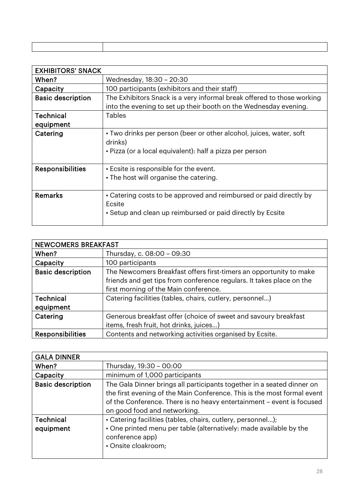| <b>EXHIBITORS' SNACK</b> |                                                                        |
|--------------------------|------------------------------------------------------------------------|
| When?                    | Wednesday, 18:30 - 20:30                                               |
| Capacity                 | 100 participants (exhibitors and their staff)                          |
| <b>Basic description</b> | The Exhibitors Snack is a very informal break offered to those working |
|                          | into the evening to set up their booth on the Wednesday evening.       |
| Technical                | <b>Tables</b>                                                          |
| equipment                |                                                                        |
| Catering                 | • Two drinks per person (beer or other alcohol, juices, water, soft    |
|                          | drinks)                                                                |
|                          | • Pizza (or a local equivalent): half a pizza per person               |
|                          |                                                                        |
| <b>Responsibilities</b>  | • Ecsite is responsible for the event.                                 |
|                          | • The host will organise the catering.                                 |
|                          |                                                                        |
| <b>Remarks</b>           | • Catering costs to be approved and reimbursed or paid directly by     |
|                          | Ecsite                                                                 |
|                          | • Setup and clean up reimbursed or paid directly by Ecsite             |
|                          |                                                                        |

| <b>NEWCOMERS BREAKFAST</b> |                                                                      |  |
|----------------------------|----------------------------------------------------------------------|--|
| When?                      | Thursday, c. 08:00 - 09:30                                           |  |
| Capacity                   | 100 participants                                                     |  |
| <b>Basic description</b>   | The Newcomers Breakfast offers first-timers an opportunity to make   |  |
|                            | friends and get tips from conference regulars. It takes place on the |  |
|                            | first morning of the Main conference.                                |  |
| <b>Technical</b>           | Catering facilities (tables, chairs, cutlery, personnel)             |  |
| equipment                  |                                                                      |  |
| Catering                   | Generous breakfast offer (choice of sweet and savoury breakfast      |  |
|                            | items, fresh fruit, hot drinks, juices)                              |  |
| <b>Responsibilities</b>    | Contents and networking activities organised by Ecsite.              |  |

| <b>GALA DINNER</b>       |                                                                         |
|--------------------------|-------------------------------------------------------------------------|
| When?                    | Thursday, 19:30 - 00:00                                                 |
| Capacity                 | minimum of 1,000 participants                                           |
| <b>Basic description</b> | The Gala Dinner brings all participants together in a seated dinner on  |
|                          | the first evening of the Main Conference. This is the most formal event |
|                          | of the Conference. There is no heavy entertainment - event is focused   |
|                          | on good food and networking.                                            |
| <b>Technical</b>         | • Catering facilities (tables, chairs, cutlery, personnel);             |
| equipment                | • One printed menu per table (alternatively: made available by the      |
|                          | conference app)                                                         |
|                          | • Onsite cloakroom;                                                     |
|                          |                                                                         |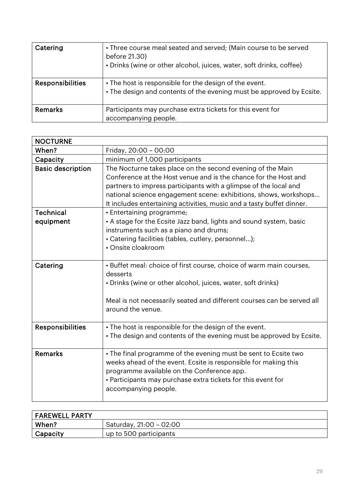| Catering                | • Three course meal seated and served; (Main course to be served<br>before 21.30)<br>• Drinks (wine or other alcohol, juices, water, soft drinks, coffee) |
|-------------------------|-----------------------------------------------------------------------------------------------------------------------------------------------------------|
| <b>Responsibilities</b> | • The host is responsible for the design of the event.<br>• The design and contents of the evening must be approved by Ecsite.                            |
| <b>Remarks</b>          | Participants may purchase extra tickets for this event for<br>accompanying people.                                                                        |

| <b>NOCTURNE</b>          |                                                                                                                                                                                                                                                                                                                                                |
|--------------------------|------------------------------------------------------------------------------------------------------------------------------------------------------------------------------------------------------------------------------------------------------------------------------------------------------------------------------------------------|
| When?                    | Friday, 20:00 - 00:00                                                                                                                                                                                                                                                                                                                          |
| Capacity                 | minimum of 1,000 participants                                                                                                                                                                                                                                                                                                                  |
| <b>Basic description</b> | The Nocturne takes place on the second evening of the Main<br>Conference at the Host venue and is the chance for the Host and<br>partners to impress participants with a glimpse of the local and<br>national science engagement scene: exhibitions, shows, workshops<br>It includes entertaining activities, music and a tasty buffet dinner. |
| Technical                | • Entertaining programme;                                                                                                                                                                                                                                                                                                                      |
| equipment                | • A stage for the Ecsite Jazz band, lights and sound system, basic                                                                                                                                                                                                                                                                             |
|                          | instruments such as a piano and drums;                                                                                                                                                                                                                                                                                                         |
|                          | • Catering facilities (tables, cutlery, personnel);<br>• Onsite cloakroom                                                                                                                                                                                                                                                                      |
|                          |                                                                                                                                                                                                                                                                                                                                                |
| Catering                 | • Buffet meal: choice of first course, choice of warm main courses,<br>desserts<br>• Drinks (wine or other alcohol, juices, water, soft drinks)                                                                                                                                                                                                |
|                          | Meal is not necessarily seated and different courses can be served all<br>around the venue.                                                                                                                                                                                                                                                    |
| <b>Responsibilities</b>  | • The host is responsible for the design of the event.<br>• The design and contents of the evening must be approved by Ecsite.                                                                                                                                                                                                                 |
| <b>Remarks</b>           | • The final programme of the evening must be sent to Ecsite two<br>weeks ahead of the event. Ecsite is responsible for making this<br>programme available on the Conference app.<br>• Participants may purchase extra tickets for this event for<br>accompanying people.                                                                       |

| FAREWELL PARTY |                         |
|----------------|-------------------------|
| When?          | Saturday, 21:00 - 02:00 |
| Capacity       | up to 500 participants  |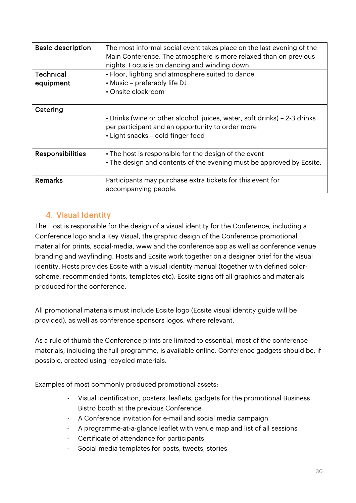| <b>Basic description</b> | The most informal social event takes place on the last evening of the<br>Main Conference. The atmosphere is more relaxed than on previous<br>nights. Focus is on dancing and winding down. |
|--------------------------|--------------------------------------------------------------------------------------------------------------------------------------------------------------------------------------------|
| Technical                | • Floor, lighting and atmosphere suited to dance                                                                                                                                           |
| equipment                | • Music – preferably life DJ                                                                                                                                                               |
|                          | • Onsite cloakroom                                                                                                                                                                         |
| Catering                 |                                                                                                                                                                                            |
|                          | · Drinks (wine or other alcohol, juices, water, soft drinks) - 2-3 drinks<br>per participant and an opportunity to order more<br>• Light snacks - cold finger food                         |
| <b>Responsibilities</b>  | • The host is responsible for the design of the event                                                                                                                                      |
|                          | • The design and contents of the evening must be approved by Ecsite.                                                                                                                       |
| Remarks                  | Participants may purchase extra tickets for this event for                                                                                                                                 |
|                          | accompanying people.                                                                                                                                                                       |

### <span id="page-29-0"></span>4. Visual Identity

The Host is responsible for the design of a visual identity for the Conference, including a Conference logo and a Key Visual, the graphic design of the Conference promotional material for prints, social-media, www and the conference app as well as conference venue branding and wayfinding. Hosts and Ecsite work together on a designer brief for the visual identity. Hosts provides Ecsite with a visual identity manual (together with defined colorscheme, recommended fonts, templates etc). Ecsite signs off all graphics and materials produced for the conference.

All promotional materials must include Ecsite logo (Ecsite visual identity guide will be provided), as well as conference sponsors logos, where relevant.

As a rule of thumb the Conference prints are limited to essential, most of the conference materials, including the full programme, is available online. Conference gadgets should be, if possible, created using recycled materials.

Examples of most commonly produced promotional assets:

- Visual identification, posters, leaflets, gadgets for the promotional Business Bistro booth at the previous Conference
- A Conference invitation for e-mail and social media campaign
- A programme-at-a-glance leaflet with venue map and list of all sessions
- Certificate of attendance for participants
- Social media templates for posts, tweets, stories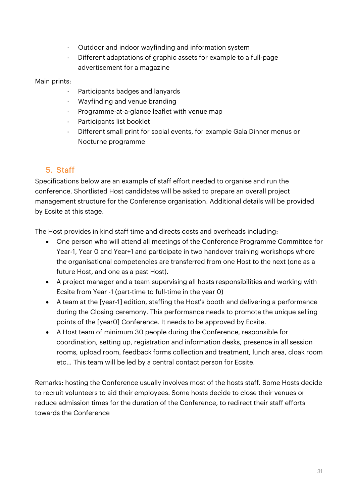- Outdoor and indoor wayfinding and information system
- Different adaptations of graphic assets for example to a full-page advertisement for a magazine

#### Main prints:

- Participants badges and lanyards
- Wayfinding and venue branding
- Programme-at-a-glance leaflet with venue map
- Participants list booklet
- Different small print for social events, for example Gala Dinner menus or Nocturne programme

### <span id="page-30-0"></span>5. Staff

Specifications below are an example of staff effort needed to organise and run the conference. Shortlisted Host candidates will be asked to prepare an overall project management structure for the Conference organisation. Additional details will be provided by Ecsite at this stage.

The Host provides in kind staff time and directs costs and overheads including:

- One person who will attend all meetings of the Conference Programme Committee for Year-1, Year 0 and Year+1 and participate in two handover training workshops where the organisational competencies are transferred from one Host to the next (one as a future Host, and one as a past Host).
- A project manager and a team supervising all hosts responsibilities and working with Ecsite from Year -1 (part-time to full-time in the year 0)
- A team at the [year-1] edition, staffing the Host's booth and delivering a performance during the Closing ceremony. This performance needs to promote the unique selling points of the [year0] Conference. It needs to be approved by Ecsite.
- A Host team of minimum 30 people during the Conference, responsible for coordination, setting up, registration and information desks, presence in all session rooms, upload room, feedback forms collection and treatment, lunch area, cloak room etc… This team will be led by a central contact person for Ecsite.

Remarks: hosting the Conference usually involves most of the hosts staff. Some Hosts decide to recruit volunteers to aid their employees. Some hosts decide to close their venues or reduce admission times for the duration of the Conference, to redirect their staff efforts towards the Conference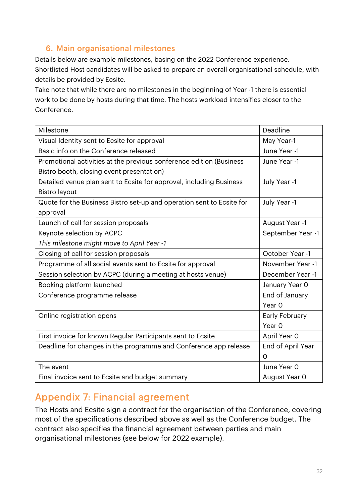### <span id="page-31-0"></span>6. Main organisational milestones

Details below are example milestones, basing on the 2022 Conference experience. Shortlisted Host candidates will be asked to prepare an overall organisational schedule, with details be provided by Ecsite.

Take note that while there are no milestones in the beginning of Year -1 there is essential work to be done by hosts during that time. The hosts workload intensifies closer to the Conference.

| Milestone                                                             | Deadline          |
|-----------------------------------------------------------------------|-------------------|
| Visual Identity sent to Ecsite for approval                           | May Year-1        |
| Basic info on the Conference released                                 | June Year -1      |
| Promotional activities at the previous conference edition (Business   | June Year -1      |
| Bistro booth, closing event presentation)                             |                   |
| Detailed venue plan sent to Ecsite for approval, including Business   | July Year -1      |
| <b>Bistro layout</b>                                                  |                   |
| Quote for the Business Bistro set-up and operation sent to Ecsite for | July Year -1      |
| approval                                                              |                   |
| Launch of call for session proposals                                  | August Year -1    |
| Keynote selection by ACPC                                             | September Year -1 |
| This milestone might move to April Year -1                            |                   |
| Closing of call for session proposals                                 | October Year -1   |
| Programme of all social events sent to Ecsite for approval            | November Year -1  |
| Session selection by ACPC (during a meeting at hosts venue)           | December Year -1  |
| Booking platform launched                                             | January Year O    |
| Conference programme release                                          | End of January    |
|                                                                       | Year O            |
| Online registration opens                                             | Early February    |
|                                                                       | Year O            |
| First invoice for known Regular Participants sent to Ecsite           | April Year O      |
| Deadline for changes in the programme and Conference app release      | End of April Year |
|                                                                       | $\Omega$          |
| The event                                                             | June Year O       |
| Final invoice sent to Ecsite and budget summary                       | August Year O     |

# <span id="page-31-1"></span>Appendix 7: Financial agreement

The Hosts and Ecsite sign a contract for the organisation of the Conference, covering most of the specifications described above as well as the Conference budget. The contract also specifies the financial agreement between parties and main organisational milestones (see below for 2022 example).